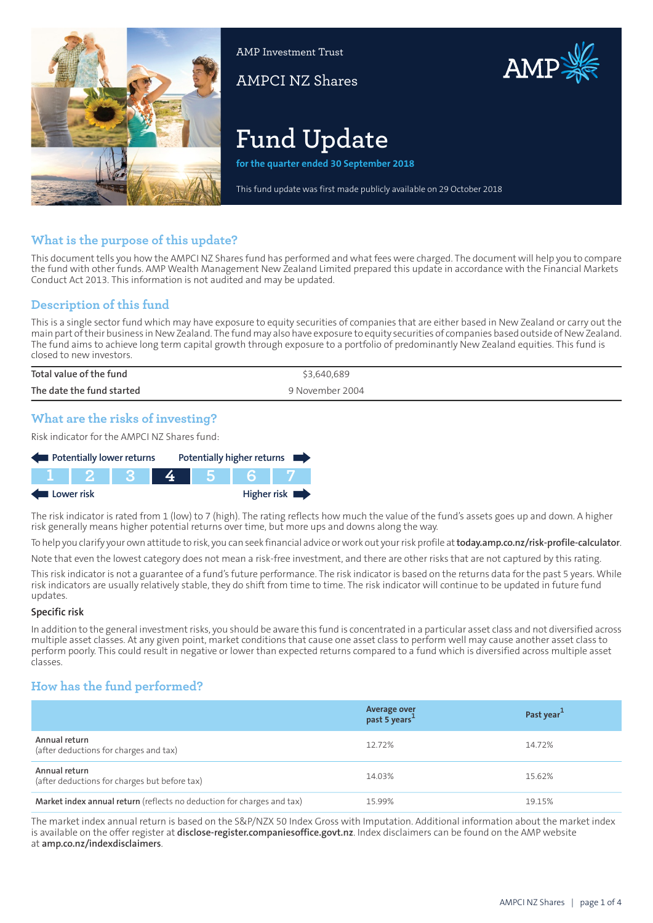

AMP Investment Trust

AMPCI NZ Shares



# **Fund Update**

**for the quarter ended 30 September 2018**

This fund update was first made publicly available on 29 October 2018

## **What is the purpose of this update?**

This document tells you how the AMPCI NZ Shares fund has performed and what fees were charged. The document will help you to compare the fund with other funds. AMP Wealth Management New Zealand Limited prepared this update in accordance with the Financial Markets Conduct Act 2013. This information is not audited and may be updated.

## **Description of this fund**

This is a single sector fund which may have exposure to equity securities of companies that are either based in New Zealand or carry out the main part oftheir business in NewZealand. The fund may also have exposure to equity securities of companies based outside of NewZealand. The fund aims to achieve long term capital growth through exposure to a portfolio of predominantly New Zealand equities. This fund is closed to new investors.

| Total value of the fund   | \$3,640,689     |
|---------------------------|-----------------|
| The date the fund started | 9 November 2004 |

## **What are the risks of investing?**

Risk indicator for the AMPCI NZ Shares fund:



The risk indicator is rated from 1 (low) to 7 (high). The rating reflects how much the value of the fund's assets goes up and down. A higher risk generally means higher potential returns over time, but more ups and downs along the way.

To help you clarify your own attitude to risk, you can seek financial advice orwork out yourrisk profile at**[today.amp.co.nz/risk-profile-calculator](http://today.amp.co.nz/risk-profile-calculator)**.

Note that even the lowest category does not mean a risk-free investment, and there are other risks that are not captured by this rating.

This risk indicator is not a guarantee of a fund's future performance. The risk indicator is based on the returns data for the past 5 years. While risk indicators are usually relatively stable, they do shift from time to time. The risk indicator will continue to be updated in future fund updates.

#### **Specific risk**

In addition to the general investmentrisks, you should be aware this fund is concentrated in a particular asset class and not diversified across multiple asset classes. At any given point, market conditions that cause one asset class to perform well may cause another asset class to perform poorly. This could result in negative or lower than expected returns compared to a fund which is diversified across multiple asset classes.

### **How has the fund performed?**

|                                                                        | Average over<br>past 5 years <sup>1</sup> | Past year <sup>1</sup> |
|------------------------------------------------------------------------|-------------------------------------------|------------------------|
| Annual return<br>(after deductions for charges and tax)                | 12.72%                                    | 14.72%                 |
| Annual return<br>(after deductions for charges but before tax)         | 14.03%                                    | 15.62%                 |
| Market index annual return (reflects no deduction for charges and tax) | 15.99%                                    | 19.15%                 |

The market index annual return is based on the S&P/NZX 50 Index Gross with Imputation. Additional information about the market index is available on the offer register at **[disclose-register.companiesoffice.govt.nz](https://disclose-register.companiesoffice.govt.nz/)**. Index disclaimers can be found on the AMP website at **[amp.co.nz/indexdisclaimers](http://amp.co.nz/indexdisclaimers)**.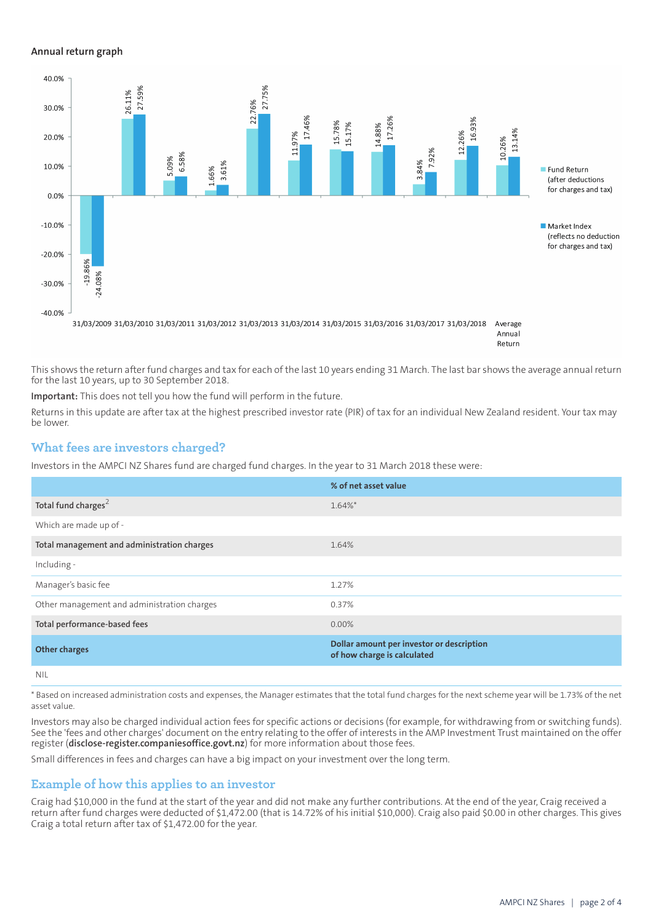#### **Annual return graph**



Return

This shows the return after fund charges and tax for each of the last 10 years ending 31 March. The last bar shows the average annual return for the last 10 years, up to 30 September 2018.

**Important:** This does not tell you how the fund will perform in the future.

Returns in this update are after tax at the highest prescribed investor rate (PIR) of tax for an individual New Zealand resident. Your tax may be lower.

#### **What fees are investors charged?**

Investors in the AMPCI NZ Shares fund are charged fund charges. In the year to 31 March 2018 these were:

|                                             | % of net asset value                                                     |
|---------------------------------------------|--------------------------------------------------------------------------|
| Total fund charges <sup>2</sup>             | $1.64\%$ *                                                               |
| Which are made up of -                      |                                                                          |
| Total management and administration charges | 1.64%                                                                    |
| Including -                                 |                                                                          |
| Manager's basic fee                         | 1.27%                                                                    |
| Other management and administration charges | 0.37%                                                                    |
| Total performance-based fees                | $0.00\%$                                                                 |
| <b>Other charges</b>                        | Dollar amount per investor or description<br>of how charge is calculated |
| NII                                         |                                                                          |

\* Based on increased administration costs and expenses, the Manager estimates that the total fund charges for the next scheme year will be 1.73% of the net asset value.

Investors may also be charged individual action fees for specific actions or decisions (for example, for withdrawing from or switching funds). See the 'fees and other charges' document on the entry relating to the offer of interests in the AMP Investment Trust maintained on the offer register (**[disclose-register.companiesoffice.govt.nz](https://disclose-register.companiesoffice.govt.nz/)**) for more information about those fees.

Small differences in fees and charges can have a big impact on your investment over the long term.

#### **Example of how this applies to an investor**

Craig had \$10,000 in the fund at the start of the year and did not make any further contributions. At the end of the year, Craig received a return after fund charges were deducted of \$1,472.00 (that is 14.72% of his initial \$10,000). Craig also paid \$0.00 in other charges. This gives Craig a total return after tax of \$1,472.00 for the year.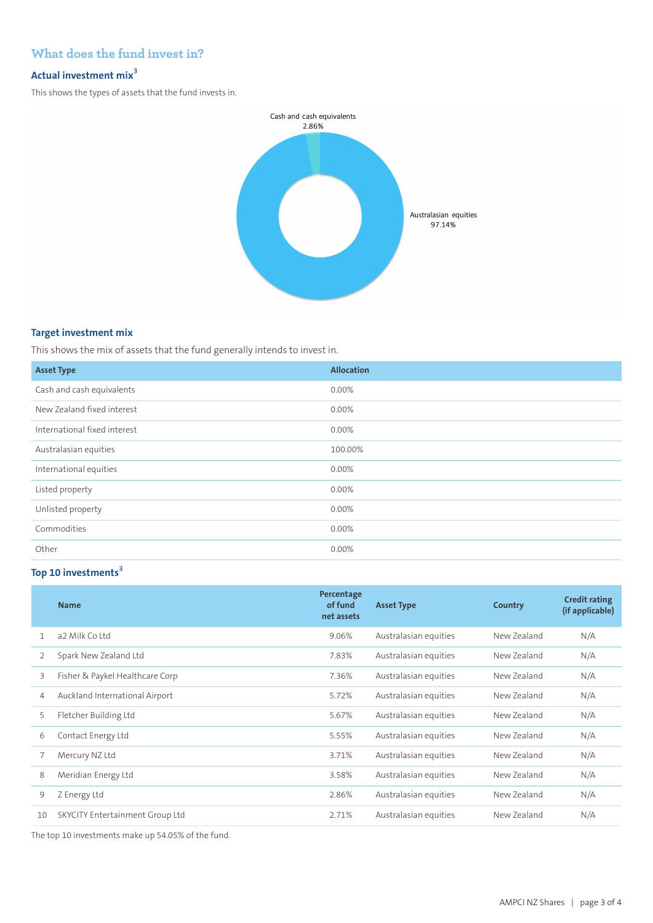# **What does the fund invest in?**

## **Actual investment mix<sup>3</sup>**

This shows the types of assets that the fund invests in.



#### **Target investment mix**

This shows the mix of assets that the fund generally intends to invest in.

| <b>Asset Type</b>            | <b>Allocation</b> |
|------------------------------|-------------------|
| Cash and cash equivalents    | $0.00\%$          |
| New Zealand fixed interest   | 0.00%             |
| International fixed interest | 0.00%             |
| Australasian equities        | 100.00%           |
| International equities       | 0.00%             |
| Listed property              | $0.00\%$          |
| Unlisted property            | 0.00%             |
| Commodities                  | $0.00\%$          |
| Other                        | 0.00%             |

# **Top 10 investments<sup>3</sup>**

|    | <b>Name</b>                     | Percentage<br>of fund<br>net assets | <b>Asset Type</b>     | Country     | <b>Credit rating</b><br>(if applicable) |
|----|---------------------------------|-------------------------------------|-----------------------|-------------|-----------------------------------------|
|    | a2 Milk Coltd                   | 9.06%                               | Australasian equities | New Zealand | N/A                                     |
| 2  | Spark New Zealand Ltd           | 7.83%                               | Australasian equities | New Zealand | N/A                                     |
| 3  | Fisher & Paykel Healthcare Corp | 7.36%                               | Australasian equities | New Zealand | N/A                                     |
| 4  | Auckland International Airport  | 5.72%                               | Australasian equities | New Zealand | N/A                                     |
| 5  | Fletcher Building Ltd           | 5.67%                               | Australasian equities | New Zealand | N/A                                     |
| 6  | Contact Energy Ltd              | 5.55%                               | Australasian equities | New Zealand | N/A                                     |
|    | Mercury NZ Ltd                  | 3.71%                               | Australasian equities | New Zealand | N/A                                     |
| 8  | Meridian Energy Ltd             | 3.58%                               | Australasian equities | New Zealand | N/A                                     |
| 9  | Z Energy Ltd                    | 2.86%                               | Australasian equities | New Zealand | N/A                                     |
| 10 | SKYCITY Entertainment Group Ltd | 2.71%                               | Australasian equities | New Zealand | N/A                                     |

The top 10 investments make up 54.05% of the fund.